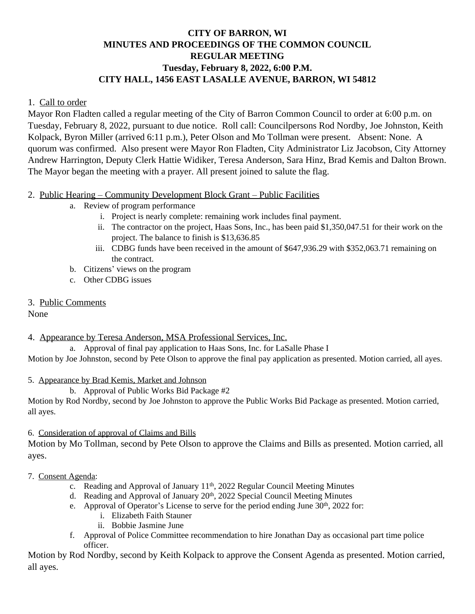# **CITY OF BARRON, WI MINUTES AND PROCEEDINGS OF THE COMMON COUNCIL REGULAR MEETING Tuesday, February 8, 2022, 6:00 P.M. CITY HALL, 1456 EAST LASALLE AVENUE, BARRON, WI 54812**

### 1. Call to order

Mayor Ron Fladten called a regular meeting of the City of Barron Common Council to order at 6:00 p.m. on Tuesday, February 8, 2022, pursuant to due notice. Roll call: Councilpersons Rod Nordby, Joe Johnston, Keith Kolpack, Byron Miller (arrived 6:11 p.m.), Peter Olson and Mo Tollman were present. Absent: None. A quorum was confirmed. Also present were Mayor Ron Fladten, City Administrator Liz Jacobson, City Attorney Andrew Harrington, Deputy Clerk Hattie Widiker, Teresa Anderson, Sara Hinz, Brad Kemis and Dalton Brown. The Mayor began the meeting with a prayer. All present joined to salute the flag.

#### 2. Public Hearing – Community Development Block Grant – Public Facilities

- a. Review of program performance
	- i. Project is nearly complete: remaining work includes final payment.
	- ii. The contractor on the project, Haas Sons, Inc., has been paid \$1,350,047.51 for their work on the project. The balance to finish is \$13,636.85
	- iii. CDBG funds have been received in the amount of \$647,936.29 with \$352,063.71 remaining on the contract.
- b. Citizens' views on the program
- c. Other CDBG issues
- 3. Public Comments

None

4. Appearance by Teresa Anderson, MSA Professional Services, Inc.

a. Approval of final pay application to Haas Sons, Inc. for LaSalle Phase I

Motion by Joe Johnston, second by Pete Olson to approve the final pay application as presented. Motion carried, all ayes.

# 5. Appearance by Brad Kemis, Market and Johnson

b. Approval of Public Works Bid Package #2

Motion by Rod Nordby, second by Joe Johnston to approve the Public Works Bid Package as presented. Motion carried, all ayes.

# 6. Consideration of approval of Claims and Bills

Motion by Mo Tollman, second by Pete Olson to approve the Claims and Bills as presented. Motion carried, all ayes.

#### 7. Consent Agenda:

- c. Reading and Approval of January 11<sup>th</sup>, 2022 Regular Council Meeting Minutes
- d. Reading and Approval of January 20<sup>th</sup>, 2022 Special Council Meeting Minutes
- e. Approval of Operator's License to serve for the period ending June 30<sup>th</sup>, 2022 for:
	- i. Elizabeth Faith Stauner
	- ii. Bobbie Jasmine June
- f. Approval of Police Committee recommendation to hire Jonathan Day as occasional part time police officer.

Motion by Rod Nordby, second by Keith Kolpack to approve the Consent Agenda as presented. Motion carried, all ayes.